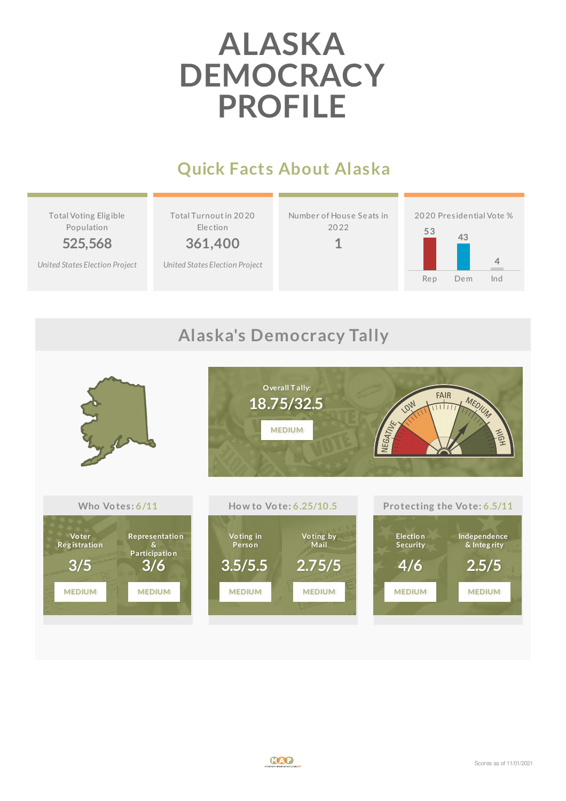# **ALASKA DEMOCRACY PROFILE**

## **Quick Facts About Alaska**

Total Voting Elig ible Population **525,568**

*United States [Election](http://www.electproject.org/2020g) Project*

Total Turnoutin 20 20 Election

**361,400**

*United States [Election](http://www.electproject.org/2020g) Project*



**1**





#### **Alaska's Democracy Tally**

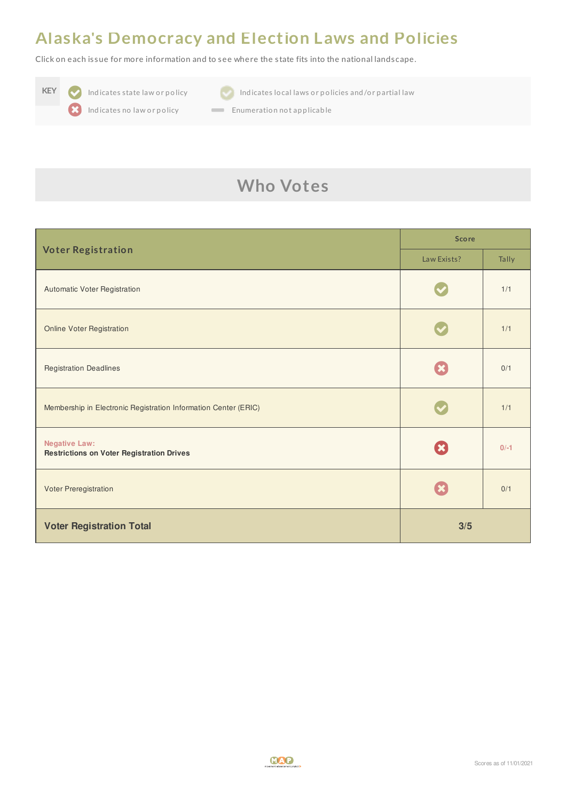#### **Alaska's Democracy and Election Laws and Policies**

Click on each is sue for more information and to see where the s tate fits into the national landscape.





**KEY Indicates state law or policy Indicates local laws or policies and/or partial law** 

Indicates no law or policy **Enumeration not applicable** 

## **Who Votes**

| <b>Voter Registration</b>                                                | <b>Score</b> |        |
|--------------------------------------------------------------------------|--------------|--------|
|                                                                          | Law Exists?  | Tally  |
| Automatic Voter Registration                                             |              | 1/1    |
| <b>Online Voter Registration</b>                                         |              | 1/1    |
| <b>Registration Deadlines</b>                                            |              | 0/1    |
| Membership in Electronic Registration Information Center (ERIC)          |              | 1/1    |
| <b>Negative Law:</b><br><b>Restrictions on Voter Registration Drives</b> |              | $0/-1$ |
| Voter Preregistration                                                    |              | 0/1    |
| <b>Voter Registration Total</b>                                          | 3/5          |        |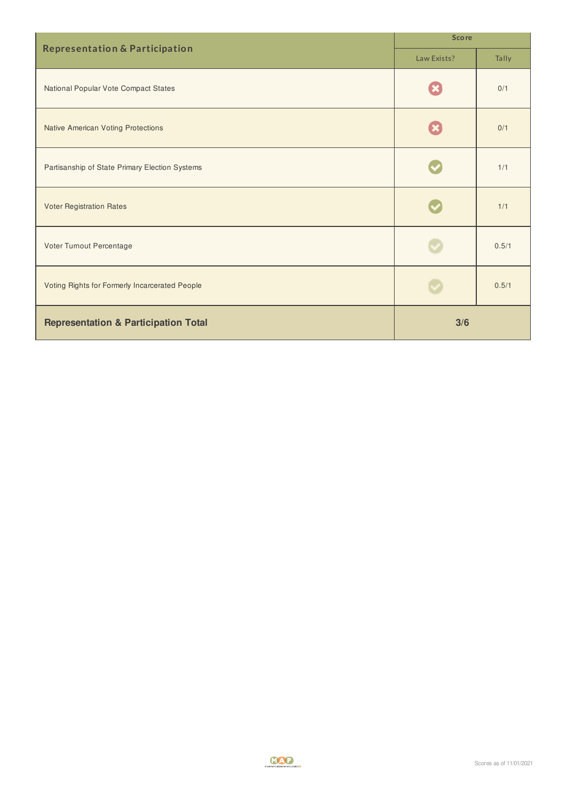| <b>Representation &amp; Participation</b>       | <b>Score</b> |       |
|-------------------------------------------------|--------------|-------|
|                                                 | Law Exists?  | Tally |
| National Popular Vote Compact States            |              | 0/1   |
| <b>Native American Voting Protections</b>       |              | 0/1   |
| Partisanship of State Primary Election Systems  |              | 1/1   |
| <b>Voter Registration Rates</b>                 |              | 1/1   |
| Voter Turnout Percentage                        |              | 0.5/1 |
| Voting Rights for Formerly Incarcerated People  |              | 0.5/1 |
| <b>Representation &amp; Participation Total</b> | 3/6          |       |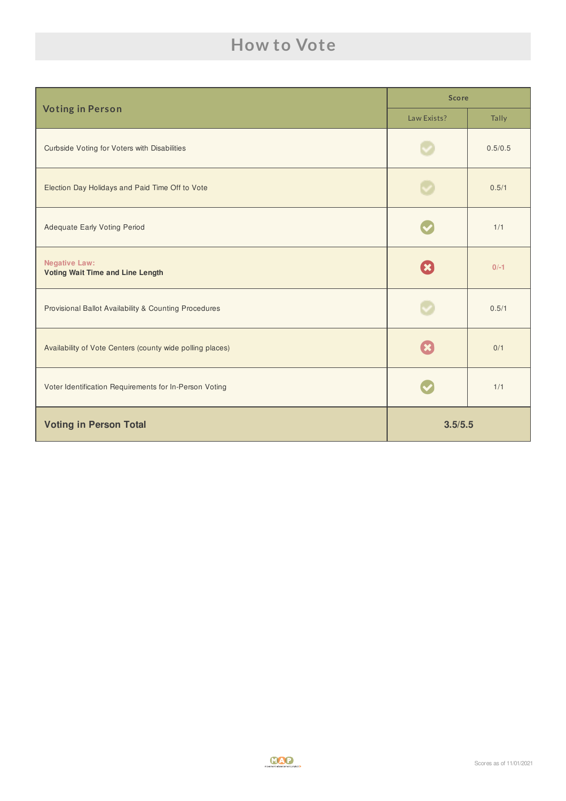### **How to Vote**

| <b>Voting in Person</b>                                         | <b>Score</b> |         |
|-----------------------------------------------------------------|--------------|---------|
|                                                                 | Law Exists?  | Tally   |
| <b>Curbside Voting for Voters with Disabilities</b>             |              | 0.5/0.5 |
| Election Day Holidays and Paid Time Off to Vote                 |              | 0.5/1   |
| <b>Adequate Early Voting Period</b>                             |              | 1/1     |
| <b>Negative Law:</b><br><b>Voting Wait Time and Line Length</b> | $\mathbf x$  | $0/-1$  |
| Provisional Ballot Availability & Counting Procedures           |              | 0.5/1   |
| Availability of Vote Centers (county wide polling places)       |              | 0/1     |
| Voter Identification Requirements for In-Person Voting          |              | 1/1     |
| <b>Voting in Person Total</b>                                   | 3.5/5.5      |         |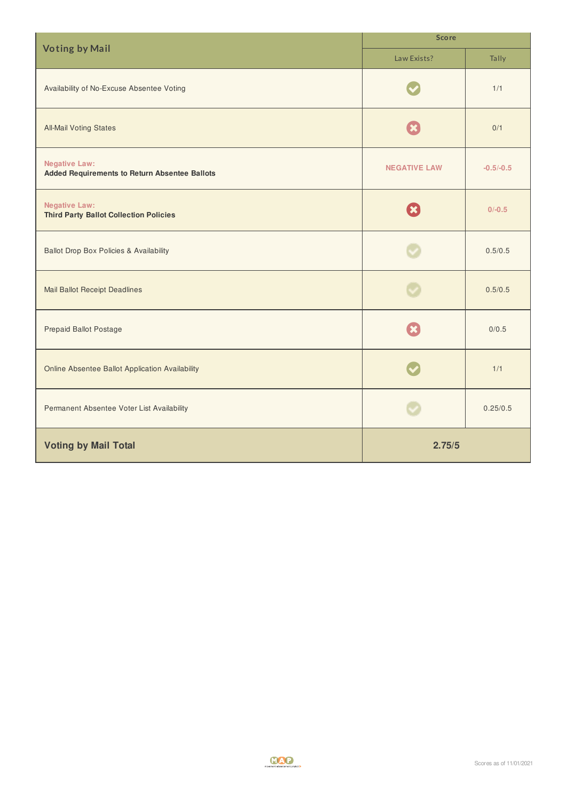| <b>Voting by Mail</b>                                                        | <b>Score</b>        |             |  |
|------------------------------------------------------------------------------|---------------------|-------------|--|
|                                                                              | Law Exists?         | Tally       |  |
| Availability of No-Excuse Absentee Voting                                    |                     | 1/1         |  |
| <b>All-Mail Voting States</b>                                                |                     | 0/1         |  |
| <b>Negative Law:</b><br><b>Added Requirements to Return Absentee Ballots</b> | <b>NEGATIVE LAW</b> | $-0.5/-0.5$ |  |
| <b>Negative Law:</b><br><b>Third Party Ballot Collection Policies</b>        |                     | $0/-0.5$    |  |
| <b>Ballot Drop Box Policies &amp; Availability</b>                           |                     | 0.5/0.5     |  |
| <b>Mail Ballot Receipt Deadlines</b>                                         |                     | 0.5/0.5     |  |
| <b>Prepaid Ballot Postage</b>                                                |                     | 0/0.5       |  |
| <b>Online Absentee Ballot Application Availability</b>                       |                     | 1/1         |  |
| Permanent Absentee Voter List Availability                                   |                     | 0.25/0.5    |  |
| <b>Voting by Mail Total</b>                                                  | 2.75/5              |             |  |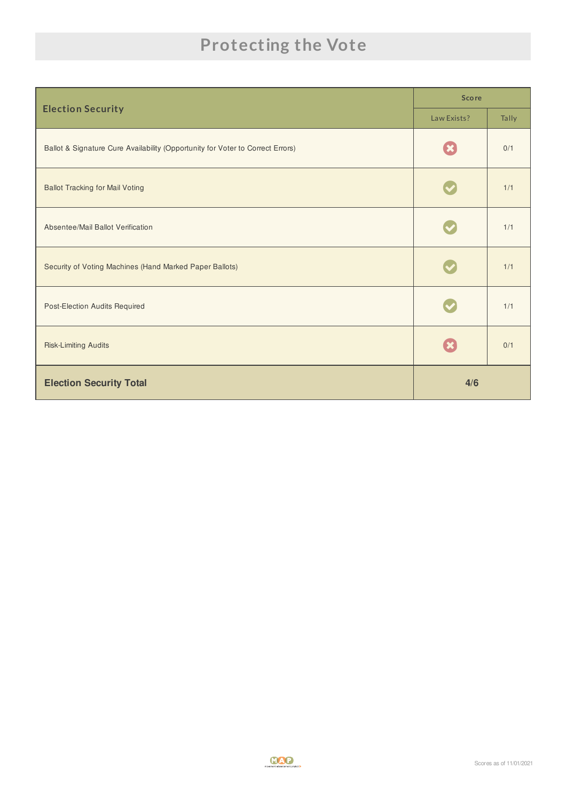## **Protecting the Vote**

| <b>Election Security</b>                                                       | <b>Score</b> |       |
|--------------------------------------------------------------------------------|--------------|-------|
|                                                                                | Law Exists?  | Tally |
| Ballot & Signature Cure Availability (Opportunity for Voter to Correct Errors) |              | 0/1   |
| <b>Ballot Tracking for Mail Voting</b>                                         |              | 1/1   |
| Absentee/Mail Ballot Verification                                              |              | 1/1   |
| Security of Voting Machines (Hand Marked Paper Ballots)                        |              | 1/1   |
| Post-Election Audits Required                                                  |              | 1/1   |
| <b>Risk-Limiting Audits</b>                                                    |              | 0/1   |
| <b>Election Security Total</b>                                                 | 4/6          |       |